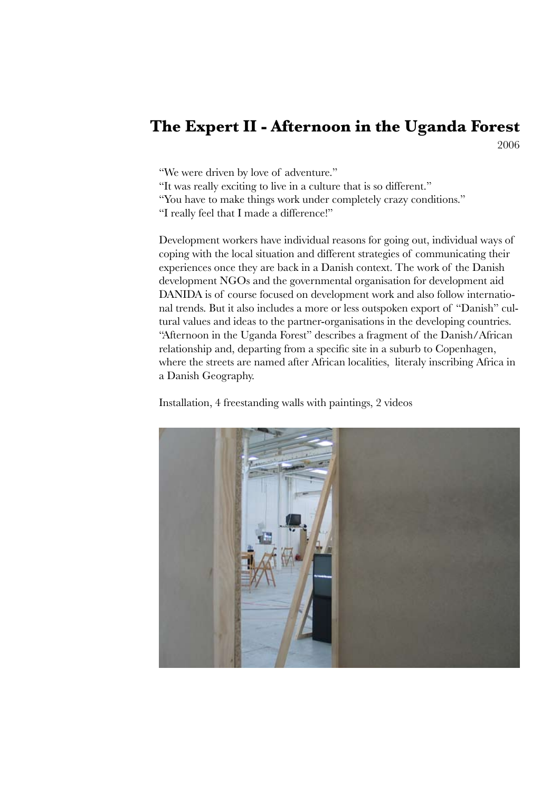# **The Expert II - Afternoon in the Uganda Forest**

2006

"We were driven by love of adventure."

"It was really exciting to live in a culture that is so different."

"You have to make things work under completely crazy conditions."

"I really feel that I made a difference!"

Development workers have individual reasons for going out, individual ways of coping with the local situation and different strategies of communicating their experiences once they are back in a Danish context. The work of the Danish development NGOs and the governmental organisation for development aid DANIDA is of course focused on development work and also follow international trends. But it also includes a more or less outspoken export of "Danish" cultural values and ideas to the partner-organisations in the developing countries. "Afternoon in the Uganda Forest" describes a fragment of the Danish/African relationship and, departing from a specific site in a suburb to Copenhagen, where the streets are named after African localities, literaly inscribing Africa in a Danish Geography.

Installation, 4 freestanding walls with paintings, 2 videos

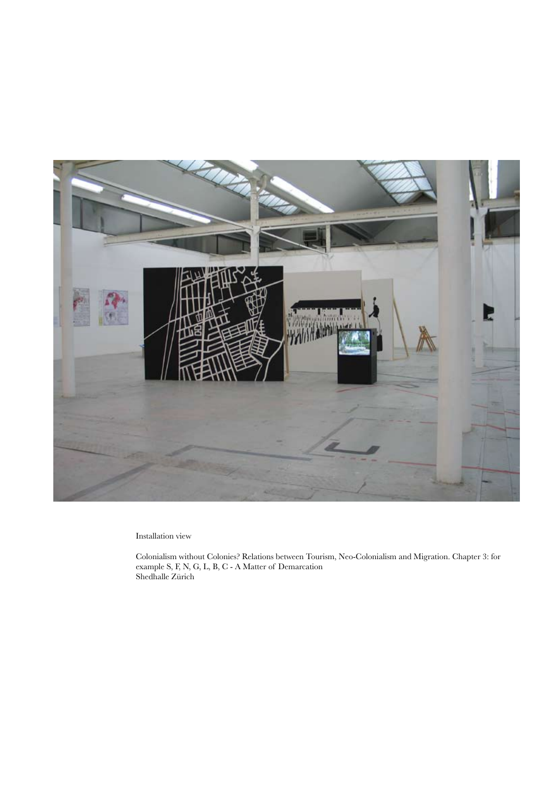

Installation view

Colonialism without Colonies? Relations between Tourism, Neo-Colonialism and Migration. Chapter 3: for example S, F, N, G, L, B, C - A Matter of Demarcation Shedhalle Zürich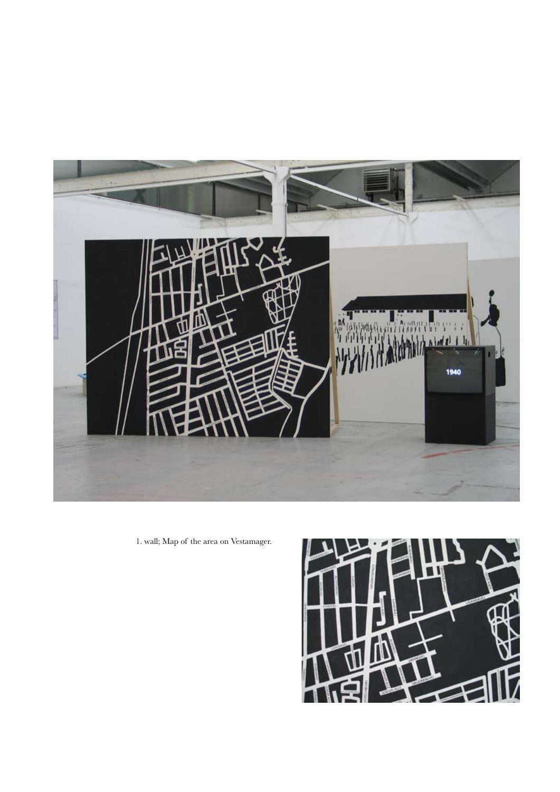

1. wall; Map of the area on Vestamager.

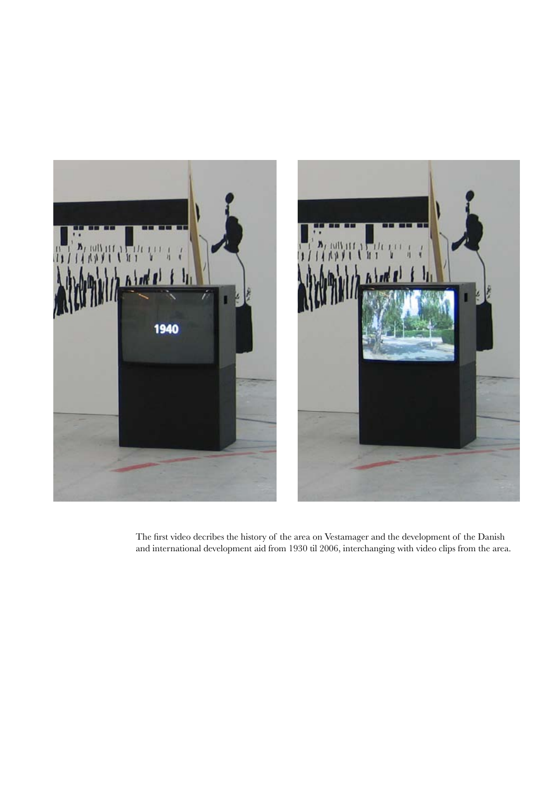

The first video decribes the history of the area on Vestamager and the development of the Danish and international development aid from 1930 til 2006, interchanging with video clips from the area.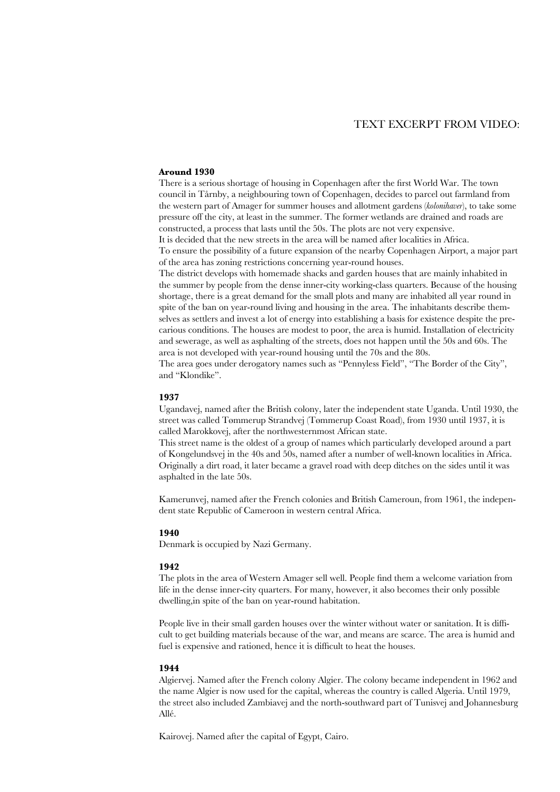# TEXT EXCERPT FROM VIDEO:

## **Around 1930**

There is a serious shortage of housing in Copenhagen after the first World War. The town council in Tårnby, a neighbouring town of Copenhagen, decides to parcel out farmland from the western part of Amager for summer houses and allotment gardens (*kolonihaver*), to take some pressure off the city, at least in the summer. The former wetlands are drained and roads are constructed, a process that lasts until the 50s. The plots are not very expensive.

It is decided that the new streets in the area will be named after localities in Africa.

To ensure the possibility of a future expansion of the nearby Copenhagen Airport, a major part of the area has zoning restrictions concerning year-round houses.

The district develops with homemade shacks and garden houses that are mainly inhabited in the summer by people from the dense inner-city working-class quarters. Because of the housing shortage, there is a great demand for the small plots and many are inhabited all year round in spite of the ban on year-round living and housing in the area. The inhabitants describe themselves as settlers and invest a lot of energy into establishing a basis for existence despite the precarious conditions. The houses are modest to poor, the area is humid. Installation of electricity and sewerage, as well as asphalting of the streets, does not happen until the 50s and 60s. The area is not developed with year-round housing until the 70s and the 80s.

The area goes under derogatory names such as "Pennyless Field", "The Border of the City", and "Klondike".

## **1937**

Ugandavej, named after the British colony, later the independent state Uganda. Until 1930, the street was called Tømmerup Strandvej (Tømmerup Coast Road), from 1930 until 1937, it is called Marokkovej, after the northwesternmost African state.

This street name is the oldest of a group of names which particularly developed around a part of Kongelundsvej in the 40s and 50s, named after a number of well-known localities in Africa. Originally a dirt road, it later became a gravel road with deep ditches on the sides until it was asphalted in the late 50s.

Kamerunvej, named after the French colonies and British Cameroun, from 1961, the independent state Republic of Cameroon in western central Africa.

### **1940**

Denmark is occupied by Nazi Germany.

#### **1942**

The plots in the area of Western Amager sell well. People find them a welcome variation from life in the dense inner-city quarters. For many, however, it also becomes their only possible dwelling,in spite of the ban on year-round habitation.

People live in their small garden houses over the winter without water or sanitation. It is difficult to get building materials because of the war, and means are scarce. The area is humid and fuel is expensive and rationed, hence it is difficult to heat the houses.

#### **1944**

Algiervej. Named after the French colony Algier. The colony became independent in 1962 and the name Algier is now used for the capital, whereas the country is called Algeria. Until 1979, the street also included Zambiavej and the north-southward part of Tunisvej and Johannesburg Allé.

Kairovej. Named after the capital of Egypt, Cairo.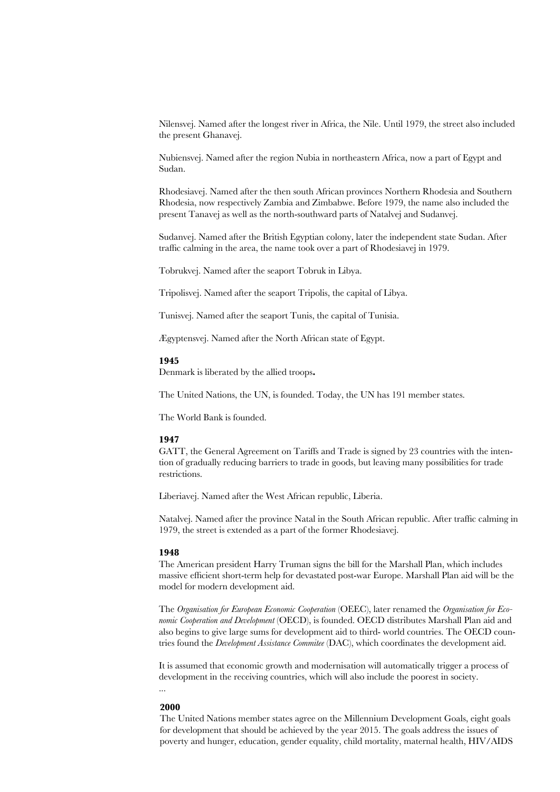Nilensvej. Named after the longest river in Africa, the Nile. Until 1979, the street also included the present Ghanavej.

Nubiensvej. Named after the region Nubia in northeastern Africa, now a part of Egypt and Sudan.

Rhodesiavej. Named after the then south African provinces Northern Rhodesia and Southern Rhodesia, now respectively Zambia and Zimbabwe. Before 1979, the name also included the present Tanavej as well as the north-southward parts of Natalvej and Sudanvej.

Sudanvej. Named after the British Egyptian colony, later the independent state Sudan. After traffic calming in the area, the name took over a part of Rhodesiavej in 1979.

Tobrukvej. Named after the seaport Tobruk in Libya.

Tripolisvej. Named after the seaport Tripolis, the capital of Libya.

Tunisvej. Named after the seaport Tunis, the capital of Tunisia.

Ægyptensvej. Named after the North African state of Egypt.

#### **1945**

Denmark is liberated by the allied troops**.** 

The United Nations, the UN, is founded. Today, the UN has 191 member states.

The World Bank is founded.

#### **1947**

GATT, the General Agreement on Tariffs and Trade is signed by 23 countries with the intention of gradually reducing barriers to trade in goods, but leaving many possibilities for trade restrictions.

Liberiavej. Named after the West African republic, Liberia.

Natalvej. Named after the province Natal in the South African republic. After traffic calming in 1979, the street is extended as a part of the former Rhodesiavej.

## **1948**

The American president Harry Truman signs the bill for the Marshall Plan, which includes massive efficient short-term help for devastated post-war Europe. Marshall Plan aid will be the model for modern development aid.

The *Organisation for European Economic Cooperation* (OEEC), later renamed the *Organisation for Economic Cooperation and Development* (OECD), is founded. OECD distributes Marshall Plan aid and also begins to give large sums for development aid to third- world countries. The OECD countries found the *Development Assistance Commitee* (DAC), which coordinates the development aid.

It is assumed that economic growth and modernisation will automatically trigger a process of development in the receiving countries, which will also include the poorest in society. ...

## **2000**

The United Nations member states agree on the Millennium Development Goals, eight goals for development that should be achieved by the year 2015. The goals address the issues of poverty and hunger, education, gender equality, child mortality, maternal health, HIV/AIDS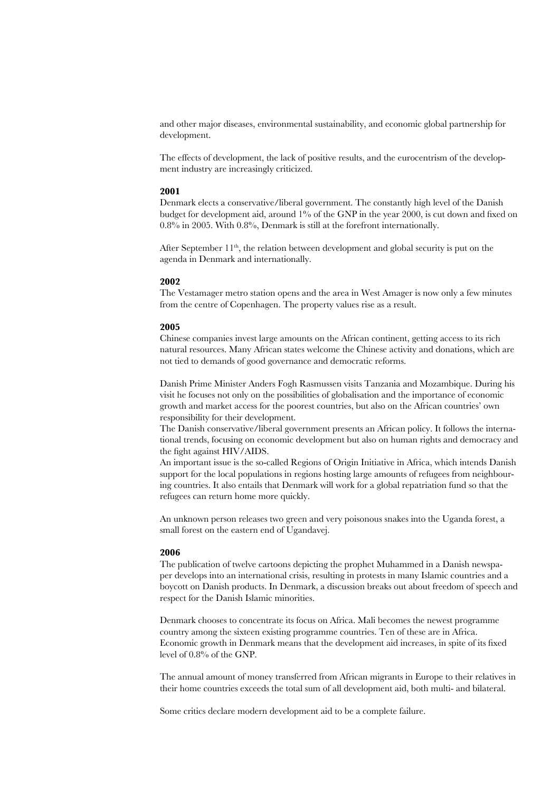and other major diseases, environmental sustainability, and economic global partnership for development.

The effects of development, the lack of positive results, and the eurocentrism of the development industry are increasingly criticized.

## **2001**

Denmark elects a conservative/liberal government. The constantly high level of the Danish budget for development aid, around 1% of the GNP in the year 2000, is cut down and fixed on 0.8% in 2005. With 0.8%, Denmark is still at the forefront internationally.

After September  $11<sup>th</sup>$ , the relation between development and global security is put on the agenda in Denmark and internationally.

## **2002**

The Vestamager metro station opens and the area in West Amager is now only a few minutes from the centre of Copenhagen. The property values rise as a result.

## **2005**

Chinese companies invest large amounts on the African continent, getting access to its rich natural resources. Many African states welcome the Chinese activity and donations, which are not tied to demands of good governance and democratic reforms.

Danish Prime Minister Anders Fogh Rasmussen visits Tanzania and Mozambique. During his visit he focuses not only on the possibilities of globalisation and the importance of economic growth and market access for the poorest countries, but also on the African countries' own responsibility for their development.

The Danish conservative/liberal government presents an African policy. It follows the international trends, focusing on economic development but also on human rights and democracy and the fight against HIV/AIDS.

An important issue is the so-called Regions of Origin Initiative in Africa, which intends Danish support for the local populations in regions hosting large amounts of refugees from neighbouring countries. It also entails that Denmark will work for a global repatriation fund so that the refugees can return home more quickly.

An unknown person releases two green and very poisonous snakes into the Uganda forest, a small forest on the eastern end of Ugandavej.

## **2006**

The publication of twelve cartoons depicting the prophet Muhammed in a Danish newspaper develops into an international crisis, resulting in protests in many Islamic countries and a boycott on Danish products. In Denmark, a discussion breaks out about freedom of speech and respect for the Danish Islamic minorities.

Denmark chooses to concentrate its focus on Africa. Mali becomes the newest programme country among the sixteen existing programme countries. Ten of these are in Africa. Economic growth in Denmark means that the development aid increases, in spite of its fixed level of 0.8% of the GNP.

The annual amount of money transferred from African migrants in Europe to their relatives in their home countries exceeds the total sum of all development aid, both multi- and bilateral.

Some critics declare modern development aid to be a complete failure.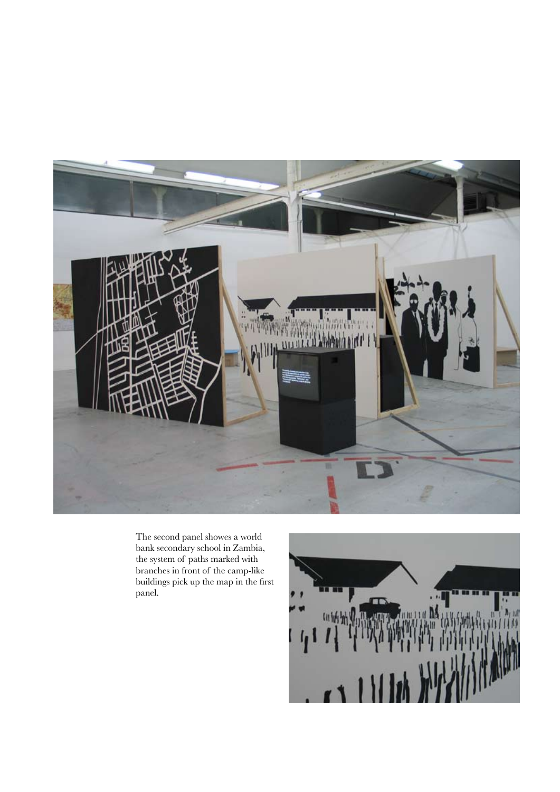

The second panel showes a world bank secondary school in Zambia, the system of paths marked with branches in front of the camp-like buildings pick up the map in the first panel.

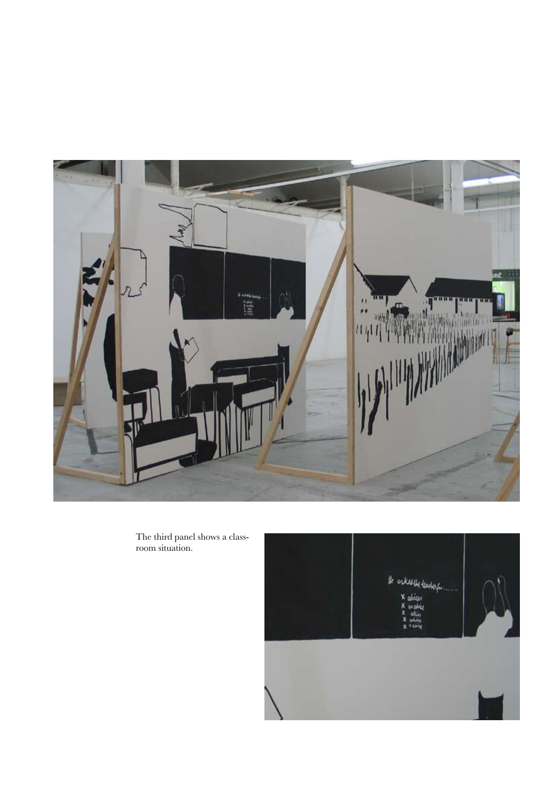

The third panel shows a classroom situation.

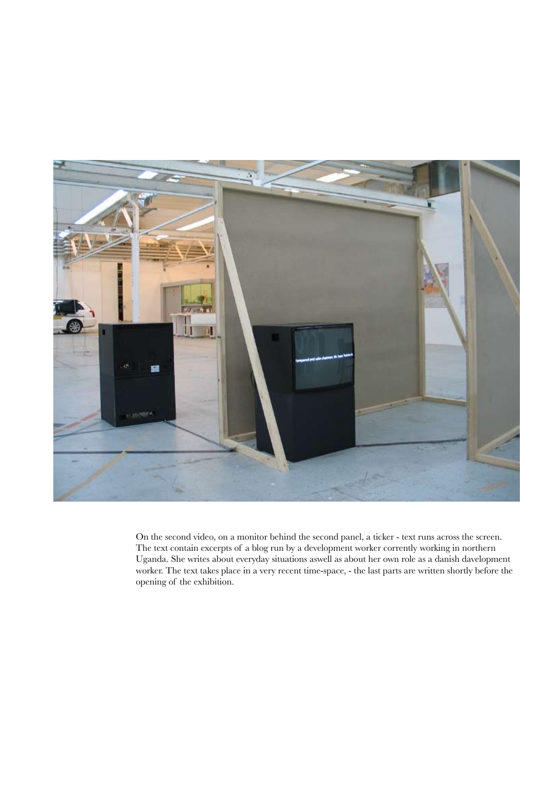

On the second video, on a monitor behind the second panel, a ticker - text runs across the screen. The text contain excerpts of a blog run by a development worker corrently working in northern Uganda. She writes about everyday situations aswell as about her own role as a danish davelopment worker. The text takes place in a very recent time-space, - the last parts are written shortly before the opening of the exhibition.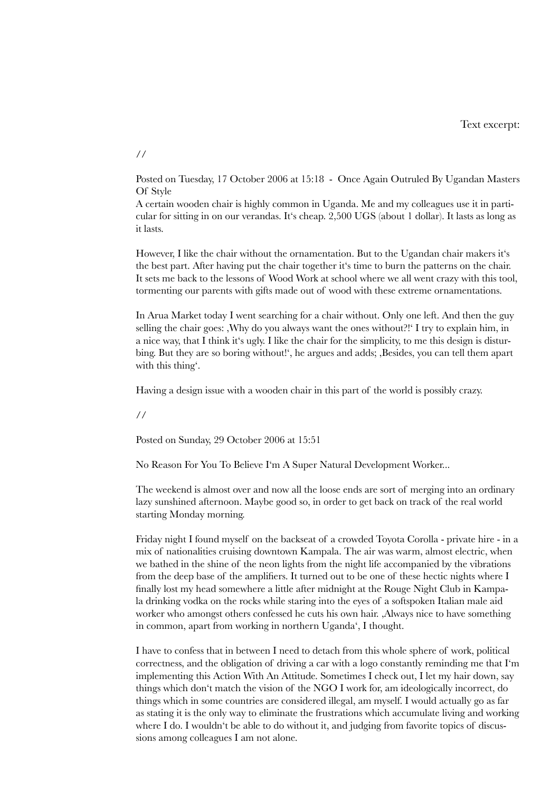Posted on Tuesday, 17 October 2006 at 15:18 - Once Again Outruled By Ugandan Masters Of Style

A certain wooden chair is highly common in Uganda. Me and my colleagues use it in particular for sitting in on our verandas. It's cheap. 2,500 UGS (about 1 dollar). It lasts as long as it lasts.

However, I like the chair without the ornamentation. But to the Ugandan chair makers it's the best part. After having put the chair together it's time to burn the patterns on the chair. It sets me back to the lessons of Wood Work at school where we all went crazy with this tool, tormenting our parents with gifts made out of wood with these extreme ornamentations.

In Arua Market today I went searching for a chair without. Only one left. And then the guy selling the chair goes: Why do you always want the ones without?!' I try to explain him, in a nice way, that I think it's ugly. I like the chair for the simplicity, to me this design is disturbing. But they are so boring without!', he argues and adds; Besides, you can tell them apart with this thing'.

Having a design issue with a wooden chair in this part of the world is possibly crazy.

//

Posted on Sunday, 29 October 2006 at 15:51

No Reason For You To Believe I'm A Super Natural Development Worker...

The weekend is almost over and now all the loose ends are sort of merging into an ordinary lazy sunshined afternoon. Maybe good so, in order to get back on track of the real world starting Monday morning.

Friday night I found myself on the backseat of a crowded Toyota Corolla - private hire - in a mix of nationalities cruising downtown Kampala. The air was warm, almost electric, when we bathed in the shine of the neon lights from the night life accompanied by the vibrations from the deep base of the amplifiers. It turned out to be one of these hectic nights where I finally lost my head somewhere a little after midnight at the Rouge Night Club in Kampala drinking vodka on the rocks while staring into the eyes of a softspoken Italian male aid worker who amongst others confessed he cuts his own hair. Always nice to have something in common, apart from working in northern Uganda', I thought.

I have to confess that in between I need to detach from this whole sphere of work, political correctness, and the obligation of driving a car with a logo constantly reminding me that I'm implementing this Action With An Attitude. Sometimes I check out, I let my hair down, say things which don't match the vision of the NGO I work for, am ideologically incorrect, do things which in some countries are considered illegal, am myself. I would actually go as far as stating it is the only way to eliminate the frustrations which accumulate living and working where I do. I wouldn't be able to do without it, and judging from favorite topics of discussions among colleagues I am not alone.

//